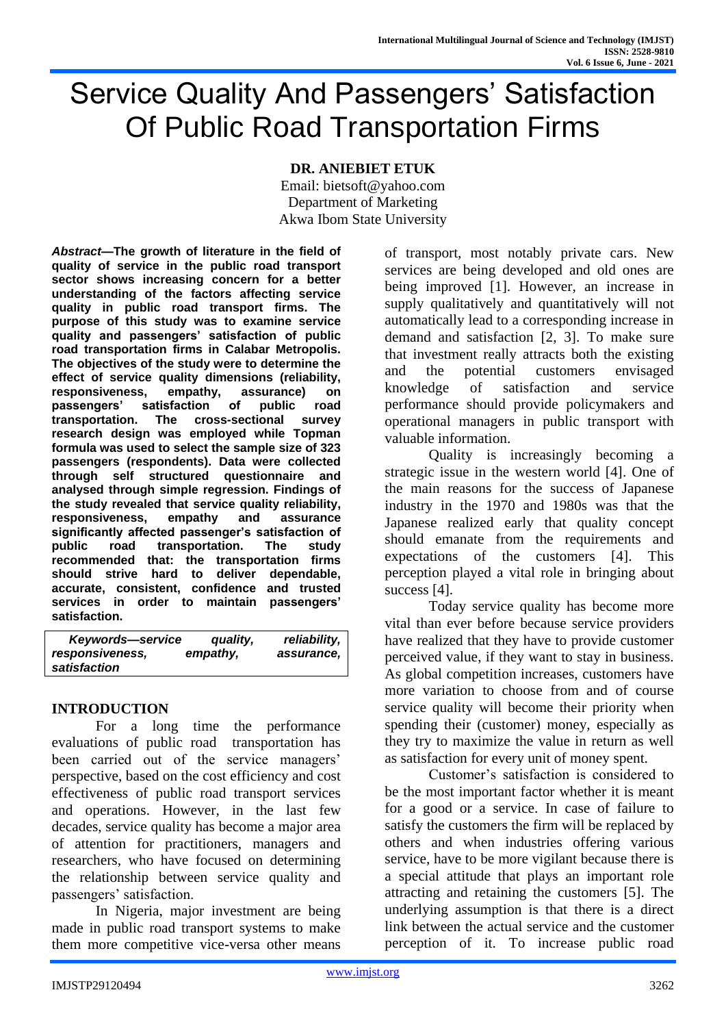# Service Quality And Passengers' Satisfaction Of Public Road Transportation Firms

## **DR. ANIEBIET ETUK**

Email: bietsoft@yahoo.com Department of Marketing Akwa Ibom State University

*Abstract***—The growth of literature in the field of quality of service in the public road transport sector shows increasing concern for a better understanding of the factors affecting service quality in public road transport firms. The purpose of this study was to examine service quality and passengers' satisfaction of public road transportation firms in Calabar Metropolis. The objectives of the study were to determine the effect of service quality dimensions (reliability, responsiveness, empathy, assurance) on passengers' satisfaction of public road transportation. The cross-sectional survey research design was employed while Topman formula was used to select the sample size of 323 passengers (respondents). Data were collected through self structured questionnaire and analysed through simple regression. Findings of the study revealed that service quality reliability, responsiveness, empathy and assurance significantly affected passenger's satisfaction of public road transportation. The study recommended that: the transportation firms should strive hard to deliver dependable, accurate, consistent, confidence and trusted services in order to maintain passengers' satisfaction.**

*Keywords—service quality, reliability, responsiveness, empathy, assurance, satisfaction*

## **INTRODUCTION**

For a long time the performance evaluations of public road transportation has been carried out of the service managers' perspective, based on the cost efficiency and cost effectiveness of public road transport services and operations. However, in the last few decades, service quality has become a major area of attention for practitioners, managers and researchers, who have focused on determining the relationship between service quality and passengers' satisfaction.

In Nigeria, major investment are being made in public road transport systems to make them more competitive vice-versa other means

of transport, most notably private cars. New services are being developed and old ones are being improved [1]. However, an increase in supply qualitatively and quantitatively will not automatically lead to a corresponding increase in demand and satisfaction [2, 3]. To make sure that investment really attracts both the existing and the potential customers envisaged knowledge of satisfaction and service performance should provide policymakers and operational managers in public transport with valuable information.

Quality is increasingly becoming a strategic issue in the western world [4]. One of the main reasons for the success of Japanese industry in the 1970 and 1980s was that the Japanese realized early that quality concept should emanate from the requirements and expectations of the customers [4]. This perception played a vital role in bringing about success [4].

Today service quality has become more vital than ever before because service providers have realized that they have to provide customer perceived value, if they want to stay in business. As global competition increases, customers have more variation to choose from and of course service quality will become their priority when spending their (customer) money, especially as they try to maximize the value in return as well as satisfaction for every unit of money spent.

Customer's satisfaction is considered to be the most important factor whether it is meant for a good or a service. In case of failure to satisfy the customers the firm will be replaced by others and when industries offering various service, have to be more vigilant because there is a special attitude that plays an important role attracting and retaining the customers [5]. The underlying assumption is that there is a direct link between the actual service and the customer perception of it. To increase public road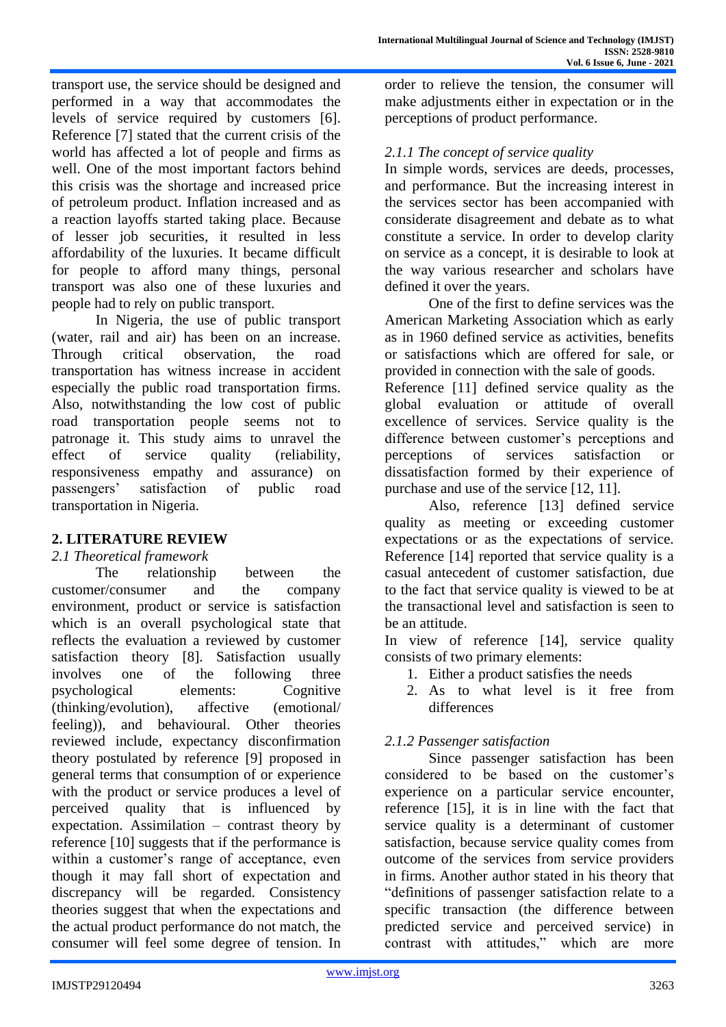transport use, the service should be designed and performed in a way that accommodates the levels of service required by customers [6]. Reference [7] stated that the current crisis of the world has affected a lot of people and firms as well. One of the most important factors behind this crisis was the shortage and increased price of petroleum product. Inflation increased and as a reaction layoffs started taking place. Because of lesser job securities, it resulted in less affordability of the luxuries. It became difficult for people to afford many things, personal transport was also one of these luxuries and people had to rely on public transport.

In Nigeria, the use of public transport (water, rail and air) has been on an increase. Through critical observation, the road transportation has witness increase in accident especially the public road transportation firms. Also, notwithstanding the low cost of public road transportation people seems not to patronage it. This study aims to unravel the effect of service quality (reliability, responsiveness empathy and assurance) on passengers' satisfaction of public road transportation in Nigeria.

## **2. LITERATURE REVIEW**

## *2.1 Theoretical framework*

The relationship between the customer/consumer and the company environment, product or service is satisfaction which is an overall psychological state that reflects the evaluation a reviewed by customer satisfaction theory [8]. Satisfaction usually involves one of the following three psychological elements: Cognitive (thinking/evolution), affective (emotional/ feeling)), and behavioural. Other theories reviewed include, expectancy disconfirmation theory postulated by reference [9] proposed in general terms that consumption of or experience with the product or service produces a level of perceived quality that is influenced by expectation. Assimilation – contrast theory by reference [10] suggests that if the performance is within a customer's range of acceptance, even though it may fall short of expectation and discrepancy will be regarded. Consistency theories suggest that when the expectations and the actual product performance do not match, the consumer will feel some degree of tension. In

order to relieve the tension, the consumer will make adjustments either in expectation or in the perceptions of product performance.

## *2.1.1 The concept of service quality*

In simple words, services are deeds, processes, and performance. But the increasing interest in the services sector has been accompanied with considerate disagreement and debate as to what constitute a service. In order to develop clarity on service as a concept, it is desirable to look at the way various researcher and scholars have defined it over the years.

One of the first to define services was the American Marketing Association which as early as in 1960 defined service as activities, benefits or satisfactions which are offered for sale, or provided in connection with the sale of goods.

Reference [11] defined service quality as the global evaluation or attitude of overall excellence of services. Service quality is the difference between customer's perceptions and perceptions of services satisfaction or dissatisfaction formed by their experience of purchase and use of the service [12, 11].

Also, reference [13] defined service quality as meeting or exceeding customer expectations or as the expectations of service. Reference [14] reported that service quality is a casual antecedent of customer satisfaction, due to the fact that service quality is viewed to be at the transactional level and satisfaction is seen to be an attitude.

In view of reference [14], service quality consists of two primary elements:

- 1. Either a product satisfies the needs
- 2. As to what level is it free from differences

# *2.1.2 Passenger satisfaction*

Since passenger satisfaction has been considered to be based on the customer's experience on a particular service encounter, reference [15], it is in line with the fact that service quality is a determinant of customer satisfaction, because service quality comes from outcome of the services from service providers in firms. Another author stated in his theory that "definitions of passenger satisfaction relate to a specific transaction (the difference between predicted service and perceived service) in contrast with attitudes," which are more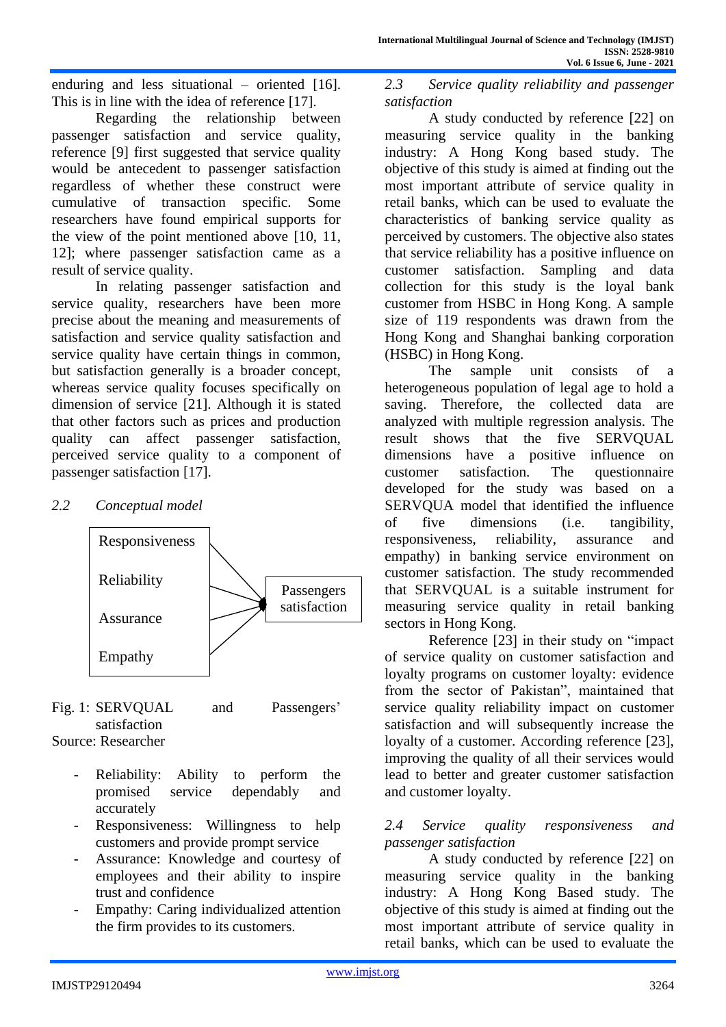enduring and less situational – oriented [16]. This is in line with the idea of reference [17].

Regarding the relationship between passenger satisfaction and service quality, reference [9] first suggested that service quality would be antecedent to passenger satisfaction regardless of whether these construct were cumulative of transaction specific. Some researchers have found empirical supports for the view of the point mentioned above [10, 11, 12]; where passenger satisfaction came as a result of service quality.

In relating passenger satisfaction and service quality, researchers have been more precise about the meaning and measurements of satisfaction and service quality satisfaction and service quality have certain things in common, but satisfaction generally is a broader concept, whereas service quality focuses specifically on dimension of service [21]. Although it is stated that other factors such as prices and production quality can affect passenger satisfaction, perceived service quality to a component of passenger satisfaction [17].

## *2.2 Conceptual model*



- Fig. 1: SERVQUAL and Passengers' satisfaction Source: Researcher
	- Reliability: Ability to perform the promised service dependably and accurately
	- Responsiveness: Willingness to help customers and provide prompt service
	- Assurance: Knowledge and courtesy of employees and their ability to inspire trust and confidence
	- Empathy: Caring individualized attention the firm provides to its customers.

*2.3 Service quality reliability and passenger satisfaction*

A study conducted by reference [22] on measuring service quality in the banking industry: A Hong Kong based study. The objective of this study is aimed at finding out the most important attribute of service quality in retail banks, which can be used to evaluate the characteristics of banking service quality as perceived by customers. The objective also states that service reliability has a positive influence on customer satisfaction. Sampling and data collection for this study is the loyal bank customer from HSBC in Hong Kong. A sample size of 119 respondents was drawn from the Hong Kong and Shanghai banking corporation (HSBC) in Hong Kong.

The sample unit consists of a heterogeneous population of legal age to hold a saving. Therefore, the collected data are analyzed with multiple regression analysis. The result shows that the five SERVQUAL dimensions have a positive influence on customer satisfaction. The questionnaire developed for the study was based on a SERVQUA model that identified the influence of five dimensions (i.e. tangibility, responsiveness, reliability, assurance and empathy) in banking service environment on customer satisfaction. The study recommended that SERVQUAL is a suitable instrument for measuring service quality in retail banking sectors in Hong Kong.

Reference [23] in their study on "impact of service quality on customer satisfaction and loyalty programs on customer loyalty: evidence from the sector of Pakistan", maintained that service quality reliability impact on customer satisfaction and will subsequently increase the loyalty of a customer. According reference [23], improving the quality of all their services would lead to better and greater customer satisfaction and customer loyalty.

## *2.4 Service quality responsiveness and passenger satisfaction*

A study conducted by reference [22] on measuring service quality in the banking industry: A Hong Kong Based study. The objective of this study is aimed at finding out the most important attribute of service quality in retail banks, which can be used to evaluate the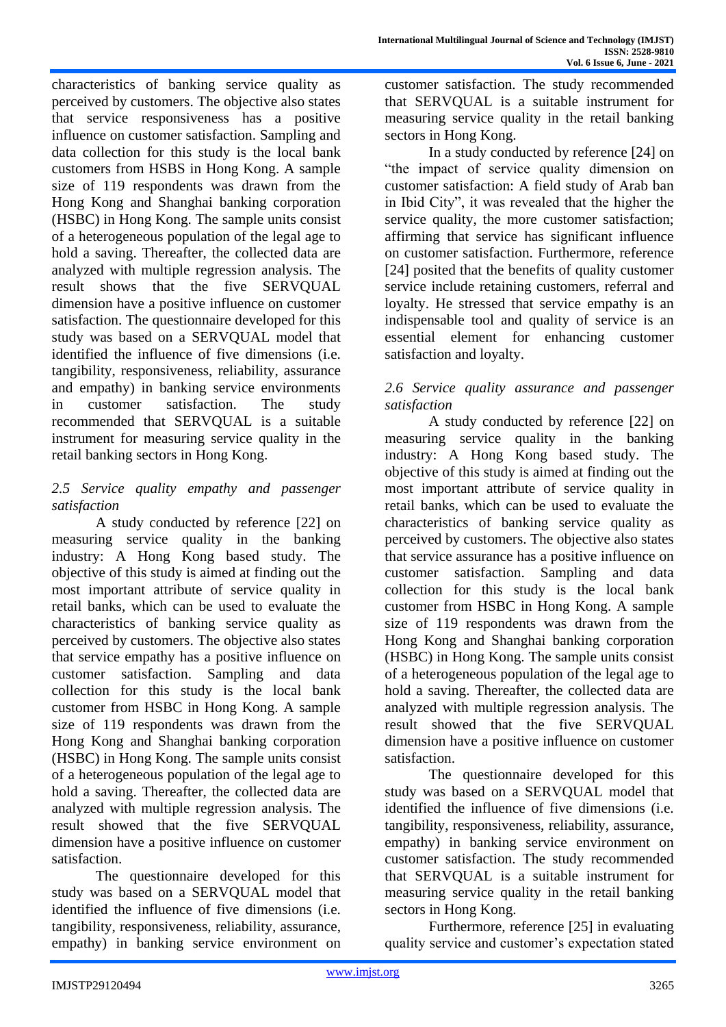characteristics of banking service quality as perceived by customers. The objective also states that service responsiveness has a positive influence on customer satisfaction. Sampling and data collection for this study is the local bank customers from HSBS in Hong Kong. A sample size of 119 respondents was drawn from the Hong Kong and Shanghai banking corporation (HSBC) in Hong Kong. The sample units consist of a heterogeneous population of the legal age to hold a saving. Thereafter, the collected data are analyzed with multiple regression analysis. The result shows that the five SERVQUAL dimension have a positive influence on customer satisfaction. The questionnaire developed for this study was based on a SERVQUAL model that identified the influence of five dimensions (i.e. tangibility, responsiveness, reliability, assurance and empathy) in banking service environments in customer satisfaction. The study recommended that SERVQUAL is a suitable instrument for measuring service quality in the retail banking sectors in Hong Kong.

## *2.5 Service quality empathy and passenger satisfaction*

A study conducted by reference [22] on measuring service quality in the banking industry: A Hong Kong based study. The objective of this study is aimed at finding out the most important attribute of service quality in retail banks, which can be used to evaluate the characteristics of banking service quality as perceived by customers. The objective also states that service empathy has a positive influence on customer satisfaction. Sampling and data collection for this study is the local bank customer from HSBC in Hong Kong. A sample size of 119 respondents was drawn from the Hong Kong and Shanghai banking corporation (HSBC) in Hong Kong. The sample units consist of a heterogeneous population of the legal age to hold a saving. Thereafter, the collected data are analyzed with multiple regression analysis. The result showed that the five SERVQUAL dimension have a positive influence on customer satisfaction.

The questionnaire developed for this study was based on a SERVQUAL model that identified the influence of five dimensions (i.e. tangibility, responsiveness, reliability, assurance, empathy) in banking service environment on

customer satisfaction. The study recommended that SERVQUAL is a suitable instrument for measuring service quality in the retail banking sectors in Hong Kong.

In a study conducted by reference [24] on "the impact of service quality dimension on customer satisfaction: A field study of Arab ban in Ibid City", it was revealed that the higher the service quality, the more customer satisfaction; affirming that service has significant influence on customer satisfaction. Furthermore, reference [24] posited that the benefits of quality customer service include retaining customers, referral and loyalty. He stressed that service empathy is an indispensable tool and quality of service is an essential element for enhancing customer satisfaction and loyalty.

## *2.6 Service quality assurance and passenger satisfaction*

A study conducted by reference [22] on measuring service quality in the banking industry: A Hong Kong based study. The objective of this study is aimed at finding out the most important attribute of service quality in retail banks, which can be used to evaluate the characteristics of banking service quality as perceived by customers. The objective also states that service assurance has a positive influence on customer satisfaction. Sampling and data collection for this study is the local bank customer from HSBC in Hong Kong. A sample size of 119 respondents was drawn from the Hong Kong and Shanghai banking corporation (HSBC) in Hong Kong. The sample units consist of a heterogeneous population of the legal age to hold a saving. Thereafter, the collected data are analyzed with multiple regression analysis. The result showed that the five SERVQUAL dimension have a positive influence on customer satisfaction.

The questionnaire developed for this study was based on a SERVQUAL model that identified the influence of five dimensions (i.e. tangibility, responsiveness, reliability, assurance, empathy) in banking service environment on customer satisfaction. The study recommended that SERVQUAL is a suitable instrument for measuring service quality in the retail banking sectors in Hong Kong.

Furthermore, reference [25] in evaluating quality service and customer's expectation stated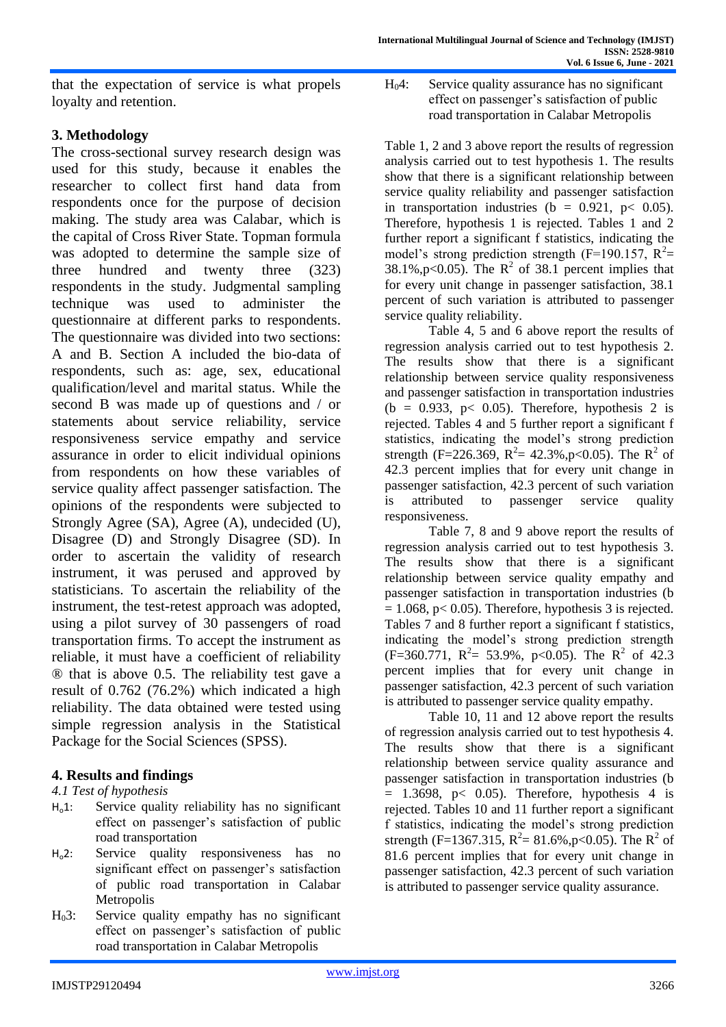that the expectation of service is what propels loyalty and retention.

# **3. Methodology**

The cross-sectional survey research design was used for this study, because it enables the researcher to collect first hand data from respondents once for the purpose of decision making. The study area was Calabar, which is the capital of Cross River State. Topman formula was adopted to determine the sample size of three hundred and twenty three (323) respondents in the study. Judgmental sampling technique was used to administer the questionnaire at different parks to respondents. The questionnaire was divided into two sections: A and B. Section A included the bio-data of respondents, such as: age, sex, educational qualification/level and marital status. While the second B was made up of questions and / or statements about service reliability, service responsiveness service empathy and service assurance in order to elicit individual opinions from respondents on how these variables of service quality affect passenger satisfaction. The opinions of the respondents were subjected to Strongly Agree (SA), Agree (A), undecided (U), Disagree (D) and Strongly Disagree (SD). In order to ascertain the validity of research instrument, it was perused and approved by statisticians. To ascertain the reliability of the instrument, the test-retest approach was adopted, using a pilot survey of 30 passengers of road transportation firms. To accept the instrument as reliable, it must have a coefficient of reliability ® that is above 0.5. The reliability test gave a result of 0.762 (76.2%) which indicated a high reliability. The data obtained were tested using simple regression analysis in the Statistical Package for the Social Sciences (SPSS).

# **4. Results and findings**

## *4.1 Test of hypothesis*

- Ho1: Service quality reliability has no significant effect on passenger's satisfaction of public road transportation
- Ho2: Service quality responsiveness has no significant effect on passenger's satisfaction of public road transportation in Calabar Metropolis
- H03: Service quality empathy has no significant effect on passenger's satisfaction of public road transportation in Calabar Metropolis

H04: Service quality assurance has no significant effect on passenger's satisfaction of public road transportation in Calabar Metropolis

Table 1, 2 and 3 above report the results of regression analysis carried out to test hypothesis 1. The results show that there is a significant relationship between service quality reliability and passenger satisfaction in transportation industries ( $\bar{b} = 0.921$ ,  $p < 0.05$ ). Therefore, hypothesis 1 is rejected. Tables 1 and 2 further report a significant f statistics, indicating the model's strong prediction strength (F=190.157,  $R^2$ = 38.1%, p<0.05). The  $R^2$  of 38.1 percent implies that for every unit change in passenger satisfaction, 38.1 percent of such variation is attributed to passenger service quality reliability.

Table 4, 5 and 6 above report the results of regression analysis carried out to test hypothesis 2. The results show that there is a significant relationship between service quality responsiveness and passenger satisfaction in transportation industries  $(b = 0.933, p < 0.05)$ . Therefore, hypothesis 2 is rejected. Tables 4 and 5 further report a significant f statistics, indicating the model's strong prediction strength (F=226.369, R<sup>2</sup>= 42.3%, p<0.05). The R<sup>2</sup> of 42.3 percent implies that for every unit change in passenger satisfaction, 42.3 percent of such variation is attributed to passenger service quality responsiveness.

Table 7, 8 and 9 above report the results of regression analysis carried out to test hypothesis 3. The results show that there is a significant relationship between service quality empathy and passenger satisfaction in transportation industries (b  $= 1.068$ , p $< 0.05$ ). Therefore, hypothesis 3 is rejected. Tables 7 and 8 further report a significant f statistics, indicating the model's strong prediction strength  $(F=360.771, R<sup>2</sup>= 53.9%, p<0.05)$ . The R<sup>2</sup> of 42.3 percent implies that for every unit change in passenger satisfaction, 42.3 percent of such variation is attributed to passenger service quality empathy.

Table 10, 11 and 12 above report the results of regression analysis carried out to test hypothesis 4. The results show that there is a significant relationship between service quality assurance and passenger satisfaction in transportation industries (b  $= 1.3698$ , p< 0.05). Therefore, hypothesis 4 is rejected. Tables 10 and 11 further report a significant f statistics, indicating the model's strong prediction strength (F=1367.315,  $R^2 = 81.6\%$ , p<0.05). The  $R^2$  of 81.6 percent implies that for every unit change in passenger satisfaction, 42.3 percent of such variation is attributed to passenger service quality assurance.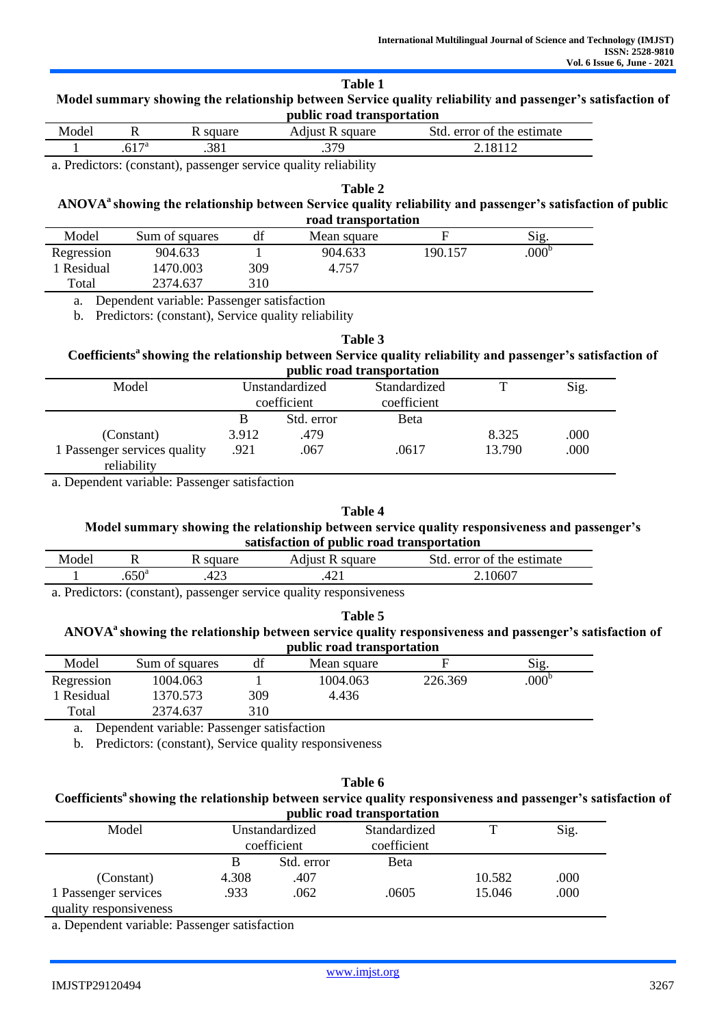| тате т<br>Model summary showing the relationship between Service quality reliability and passenger's satisfaction of<br>public road transportation |  |          |                 |                            |  |  |
|----------------------------------------------------------------------------------------------------------------------------------------------------|--|----------|-----------------|----------------------------|--|--|
| Model                                                                                                                                              |  | R square | Adjust R square | Std. error of the estimate |  |  |
|                                                                                                                                                    |  | .381     | 379             | 2.18112                    |  |  |

**Table 1** 

a. Predictors: (constant), passenger service quality reliability

**Table 2**

## **ANOVA<sup>a</sup>showing the relationship between Service quality reliability and passenger's satisfaction of public road transportation**

| Model      | Sum of squares | df  | Mean square |         | $\mathrm{Sig}$    |  |
|------------|----------------|-----|-------------|---------|-------------------|--|
| Regression | 904.633        |     | 904.633     | 190.157 | .000 <sup>b</sup> |  |
| Residual   | 1470.003       | 309 | 4.757       |         |                   |  |
| Total      | 2374.637       | 310 |             |         |                   |  |

a. Dependent variable: Passenger satisfaction

b. Predictors: (constant), Service quality reliability

**Table 3**

#### **Coefficients<sup>a</sup>showing the relationship between Service quality reliability and passenger's satisfaction of public road transportation**

|                                                           |                               |                            | public Todu transportation  |                 |              |
|-----------------------------------------------------------|-------------------------------|----------------------------|-----------------------------|-----------------|--------------|
| Model                                                     | Unstandardized<br>coefficient |                            | Standardized<br>coefficient |                 | Sig.         |
| (Constant)<br>1 Passenger services quality<br>reliability | 3.912<br>.921                 | Std. error<br>.479<br>.067 | Beta<br>.0617               | 8.325<br>13.790 | .000<br>.000 |

a. Dependent variable: Passenger satisfaction

#### **Table 4**

## **Model summary showing the relationship between service quality responsiveness and passenger's satisfaction of public road transportation**

| Model |                   | square | square<br>Adıust R | error of the estimate<br>Std |  |
|-------|-------------------|--------|--------------------|------------------------------|--|
|       | .650 <sup>a</sup> | ل⊾∠+   | Δ΄<br>−∠⊥          | 2.10607                      |  |
|       |                   |        |                    |                              |  |

a. Predictors: (constant), passenger service quality responsiveness

## **Table 5**

## **ANOVA<sup>a</sup>showing the relationship between service quality responsiveness and passenger's satisfaction of public road transportation**

| Model      | Sum of squares | df  | Mean square |         | $\mathrm{Sig}$    |  |
|------------|----------------|-----|-------------|---------|-------------------|--|
| Regression | 1004.063       |     | 1004.063    | 226.369 | .000 <sup>b</sup> |  |
| Residual   | 370.573        | 309 | 4.436       |         |                   |  |
| Total      | 2374.637       | 310 |             |         |                   |  |

a. Dependent variable: Passenger satisfaction

b. Predictors: (constant), Service quality responsiveness

| Table 6                                                                                                                   |
|---------------------------------------------------------------------------------------------------------------------------|
| Coefficients <sup>a</sup> showing the relationship between service quality responsiveness and passenger's satisfaction of |
| public road transportation                                                                                                |

|                        |                |             | public Fouu transportation |        |      |
|------------------------|----------------|-------------|----------------------------|--------|------|
| Model                  | Unstandardized |             | Standardized               | т      | Sig. |
|                        |                | coefficient | coefficient                |        |      |
|                        | В              | Std. error  | Beta                       |        |      |
| (Constant)             | 4.308          | .407        |                            | 10.582 | .000 |
| 1 Passenger services   | .933           | .062        | .0605                      | 15.046 | .000 |
| quality responsiveness |                |             |                            |        |      |

a. Dependent variable: Passenger satisfaction

 $\overline{a}$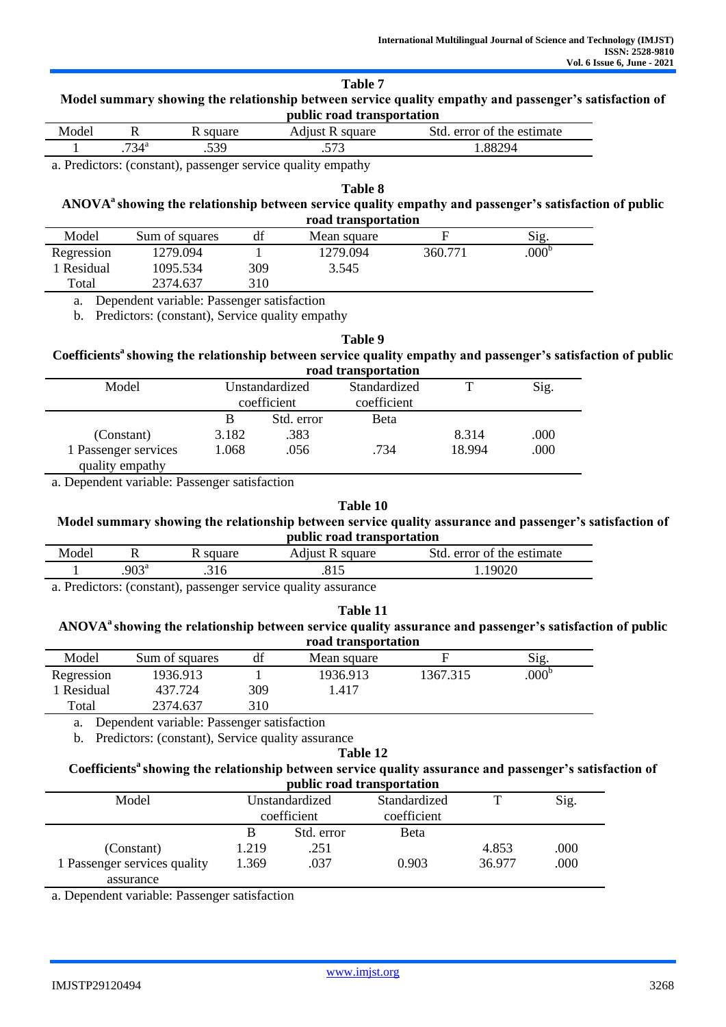| able |  |
|------|--|
|      |  |

| Model summary showing the relationship between service quality empathy and passenger's satisfaction of |
|--------------------------------------------------------------------------------------------------------|
| public road transportation                                                                             |

| Model |               | square | square<br>Admst      | Std<br>error of the estimate |
|-------|---------------|--------|----------------------|------------------------------|
|       | $734^{\circ}$ | .539   | ビワク<br>$\sim$ $\sim$ | 88294                        |

a. Predictors: (constant), passenger service quality empathy

**Table 8**

## **ANOVA<sup>a</sup>showing the relationship between service quality empathy and passenger's satisfaction of public road transportation**

| Model      | Sum of squares |     | Mean square |         | Sig.           |
|------------|----------------|-----|-------------|---------|----------------|
| Regression | 1279.094       |     | 1279.094    | 360.771 | $.000^{\circ}$ |
| Residual   | 1095.534       | 309 | 3.545       |         |                |
| Total      | 2374.637       | 310 |             |         |                |

a. Dependent variable: Passenger satisfaction

b. Predictors: (constant), Service quality empathy

#### **Table 9**

#### **Coefficients<sup>a</sup>showing the relationship between service quality empathy and passenger's satisfaction of public road transportation**

|                                         |                |             | rvau u amobortation |        |      |
|-----------------------------------------|----------------|-------------|---------------------|--------|------|
| Model                                   | Unstandardized |             | Standardized        |        | Sig. |
|                                         |                | coefficient | coefficient         |        |      |
|                                         |                | Std. error  | Beta                |        |      |
| (Constant)                              | 3.182          | .383        |                     | 8.314  | .000 |
| 1 Passenger services<br>quality empathy | 1.068          | .056        | .734                | 18.994 | .000 |

a. Dependent variable: Passenger satisfaction

#### **Table 10**

#### **Model summary showing the relationship between service quality assurance and passenger's satisfaction of public road transportation**

| Model | . .            | square      | square<br>Adıust | ifd⊾<br>error of the estimate |
|-------|----------------|-------------|------------------|-------------------------------|
|       | $.903^{\circ}$ | .,<br>.J 10 | .∪ ⊥ പ           | ۱۹۵۵ ن                        |

a. Predictors: (constant), passenger service quality assurance

#### **Table 11**

## **ANOVA<sup>a</sup>showing the relationship between service quality assurance and passenger's satisfaction of public road transportation**

| Model                  | Sum of squares | df  | Mean square |          | Sig.           |
|------------------------|----------------|-----|-------------|----------|----------------|
| Regression             | 1936.913       |     | 1936.913    | 1367.315 | $.000^{\rm b}$ |
| Residual               | 437.724        | 309 | .417        |          |                |
| $\tau$ <sub>otal</sub> | 2374.637       | 310 |             |          |                |

a. Dependent variable: Passenger satisfaction

b. Predictors: (constant), Service quality assurance

#### **Table 12 Coefficients<sup>a</sup>showing the relationship between service quality assurance and passenger's satisfaction of public road transportation**

| public road transportation                |                |            |              |        |      |  |  |  |  |  |
|-------------------------------------------|----------------|------------|--------------|--------|------|--|--|--|--|--|
| Model                                     | Unstandardized |            | Standardized | ௱      | Sig. |  |  |  |  |  |
|                                           | coefficient    |            | coefficient  |        |      |  |  |  |  |  |
|                                           | B              | Std. error | <b>B</b> eta |        |      |  |  |  |  |  |
| (Constant)                                | 1.219          | .251       |              | 4.853  | .000 |  |  |  |  |  |
| 1 Passenger services quality<br>assurance | 1.369          | .037       | 0.903        | 36.977 | .000 |  |  |  |  |  |

a. Dependent variable: Passenger satisfaction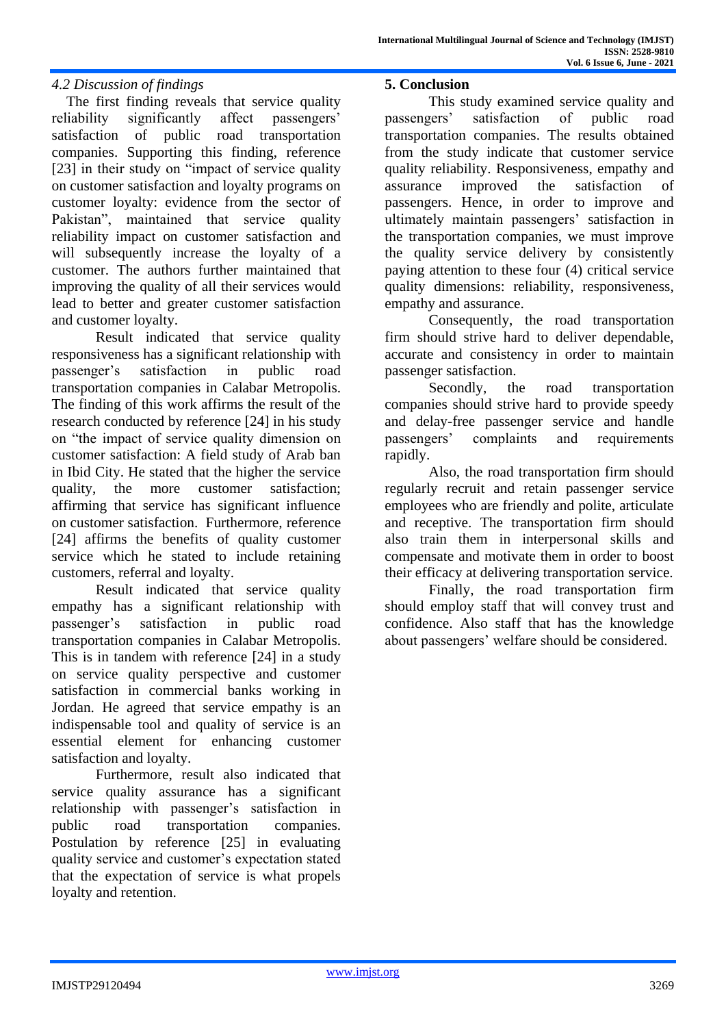# *4.2 Discussion of findings*

The first finding reveals that service quality reliability significantly affect passengers' satisfaction of public road transportation companies. Supporting this finding, reference [23] in their study on "impact of service quality" on customer satisfaction and loyalty programs on customer loyalty: evidence from the sector of Pakistan", maintained that service quality reliability impact on customer satisfaction and will subsequently increase the loyalty of a customer. The authors further maintained that improving the quality of all their services would lead to better and greater customer satisfaction and customer loyalty.

Result indicated that service quality responsiveness has a significant relationship with passenger's satisfaction in public road transportation companies in Calabar Metropolis. The finding of this work affirms the result of the research conducted by reference [24] in his study on "the impact of service quality dimension on customer satisfaction: A field study of Arab ban in Ibid City. He stated that the higher the service quality, the more customer satisfaction; affirming that service has significant influence on customer satisfaction. Furthermore, reference [24] affirms the benefits of quality customer service which he stated to include retaining customers, referral and loyalty.

Result indicated that service quality empathy has a significant relationship with passenger's satisfaction in public road transportation companies in Calabar Metropolis. This is in tandem with reference [24] in a study on service quality perspective and customer satisfaction in commercial banks working in Jordan. He agreed that service empathy is an indispensable tool and quality of service is an essential element for enhancing customer satisfaction and loyalty.

Furthermore, result also indicated that service quality assurance has a significant relationship with passenger's satisfaction in public road transportation companies. Postulation by reference [25] in evaluating quality service and customer's expectation stated that the expectation of service is what propels loyalty and retention.

## **5. Conclusion**

This study examined service quality and passengers' satisfaction of public road transportation companies. The results obtained from the study indicate that customer service quality reliability. Responsiveness, empathy and assurance improved the satisfaction of passengers. Hence, in order to improve and ultimately maintain passengers' satisfaction in the transportation companies, we must improve the quality service delivery by consistently paying attention to these four (4) critical service quality dimensions: reliability, responsiveness, empathy and assurance.

Consequently, the road transportation firm should strive hard to deliver dependable, accurate and consistency in order to maintain passenger satisfaction.

Secondly, the road transportation companies should strive hard to provide speedy and delay-free passenger service and handle passengers' complaints and requirements rapidly.

Also, the road transportation firm should regularly recruit and retain passenger service employees who are friendly and polite, articulate and receptive. The transportation firm should also train them in interpersonal skills and compensate and motivate them in order to boost their efficacy at delivering transportation service.

Finally, the road transportation firm should employ staff that will convey trust and confidence. Also staff that has the knowledge about passengers' welfare should be considered.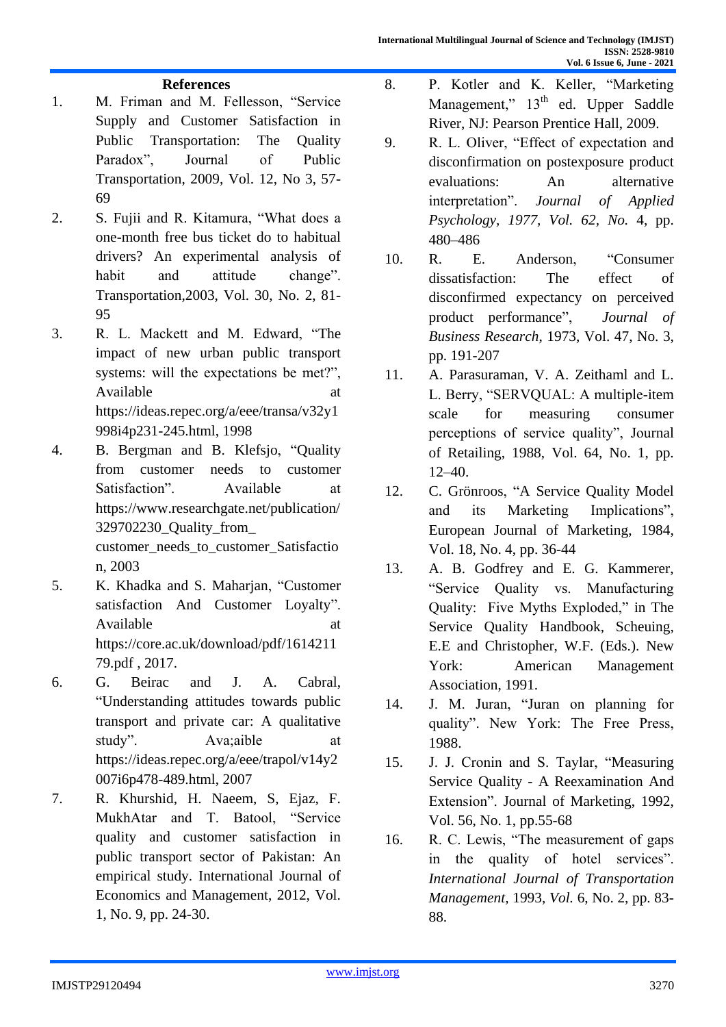# **References**

- 1. M. Friman and M. Fellesson, "Service Supply and Customer Satisfaction in Public Transportation: The Quality Paradox", Journal of Public Transportation, 2009, Vol. 12, No 3, 57- 69
- 2. S. Fujii and R. Kitamura, "What does a one-month free bus ticket do to habitual drivers? An experimental analysis of habit and attitude change". Transportation,2003, Vol. 30, No. 2, 81- 95
- 3. R. L. Mackett and M. Edward, "The impact of new urban public transport systems: will the expectations be met?", Available at a state at a state at a state at a state at a state at a state at a state at a state at a state at a state at a state at a state at a state at a state at a state at a state at a state at a state at a state at https://ideas.repec.org/a/eee/transa/v32y1 998i4p231-245.html, 1998
- 4. B. Bergman and B. [Klefsjo,](https://www.researchgate.net/scientific-contributions/Bengt-Klefsjo-2150925970) "Quality from customer needs to customer Satisfaction". Available at [https://www.researchgate.net/publication/](https://www.researchgate.net/publication/329702230_Quality_from_) [329702230\\_Quality\\_from\\_](https://www.researchgate.net/publication/329702230_Quality_from_) customer\_needs\_to\_customer\_Satisfactio n, 2003
- 5. K. Khadka and S. Maharjan, "Customer satisfaction And Customer Loyalty". Available at a state at a state at a state at a state at a state at a state at a state at a state at a state at a state at a state at a state at a state at a state at a state at a state at a state at a state at a state at https://core.ac.uk/download/pdf/1614211 79.pdf , 2017.
- 6. G. Beirac and J. A. Cabral, "Understanding attitudes towards public transport and private car: A qualitative study". Ava;aible at [https://ideas.repec.org/a/eee/trapol/v14y2](https://ideas.repec.org/a/eee/trapol/v14y2007i6p478-489.html) [007i6p478-489.html,](https://ideas.repec.org/a/eee/trapol/v14y2007i6p478-489.html) 2007
- 7. R. Khurshid, H. Naeem, S, Ejaz, F. MukhAtar and T. Batool, "Service quality and customer satisfaction in public transport sector of Pakistan: An empirical study. International Journal of Economics and Management, 2012, Vol. 1, No. 9, pp. 24-30.
- 8. P. Kotler and K. Keller, "Marketing Management," 13<sup>th</sup> ed. Upper Saddle River, NJ: Pearson Prentice Hall, 2009.
- 9. R. L. Oliver, "Effect of expectation and disconfirmation on postexposure product evaluations: An alternative interpretation". *Journal of Applied Psychology, 1977, Vol. 62, No.* 4, pp. 480–486
- 10. R. E. Anderson, "Consumer dissatisfaction: The effect of disconfirmed expectancy on perceived product performance", *Journal of Business Research*, 1973, Vol. 47, No. 3, pp. 191-207
- 11. A. Parasuraman, V. A. Zeithaml and L. L. Berry, "SERVQUAL: A multiple-item scale for measuring consumer perceptions of service quality", Journal of Retailing, 1988, Vol. 64, No. 1, pp. 12–40.
- 12. C. [Grönroos,](https://www.emerald.com/insight/search?q=Christian%20Grönroos) "A Service Quality Model and its Marketing Implications", [European Journal of Marketing,](https://www.researchgate.net/journal/European-Journal-of-Marketing-0309-0566) 1984, Vol. 18, No. 4, pp. 36-44
- 13. A. B. Godfrey and E. G. Kammerer, "Service Quality vs. Manufacturing Quality: Five Myths Exploded," in The Service Quality Handbook, Scheuing, E.E and Christopher, W.F. (Eds.). New York: American Management Association, 1991.
- 14. J. M. Juran, "Juran on planning for quality". New York: The Free Press, 1988.
- 15. J. J. Cronin and S. Taylar, "Measuring Service Quality - A Reexamination And Extension". [Journal of Marketing,](https://www.researchgate.net/journal/Journal-of-Marketing-0022-2429) 1992, Vol. 56, No. 1, pp.55-68
- 16. R. C. Lewis, "The measurement of gaps in the quality of hotel services". *International Journal of Transportation Management,* 1993, *Vol.* 6, No. 2, pp. 83- 88.